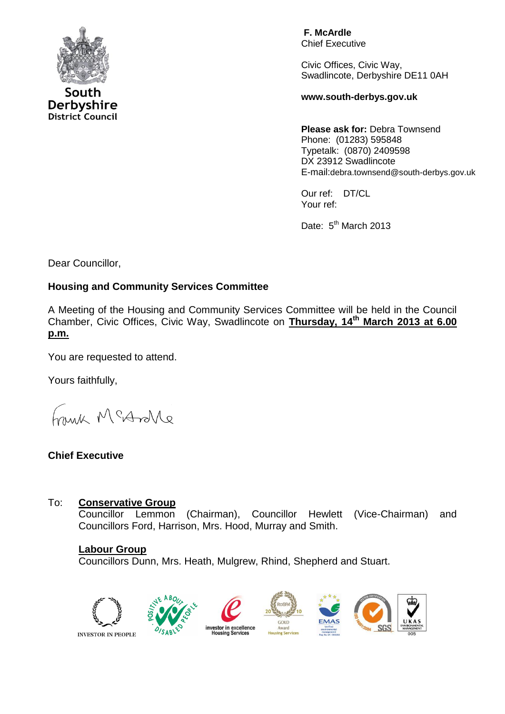

South Derbyshire **District Council** 

**F. McArdle** Chief Executive

Civic Offices, Civic Way, Swadlincote, Derbyshire DE11 0AH

**www.south-derbys.gov.uk**

**Please ask for:** Debra Townsend Phone: (01283) 595848 Typetalk: (0870) 2409598 DX 23912 Swadlincote E-mail:debra.townsend@south-derbys.gov.uk

Our ref: DT/CL Your ref:

Date: 5<sup>th</sup> March 2013

Dear Councillor,

## **Housing and Community Services Committee**

A Meeting of the Housing and Community Services Committee will be held in the Council Chamber, Civic Offices, Civic Way, Swadlincote on **Thursday, 14th March 2013 at 6.00 p.m.**

You are requested to attend.

Yours faithfully,

a Morton Minor

## **Chief Executive**

## To: **Conservative Group**

Councillor Lemmon (Chairman), Councillor Hewlett (Vice-Chairman) and Councillors Ford, Harrison, Mrs. Hood, Murray and Smith.

#### **Labour Group**

Councillors Dunn, Mrs. Heath, Mulgrew, Rhind, Shepherd and Stuart.